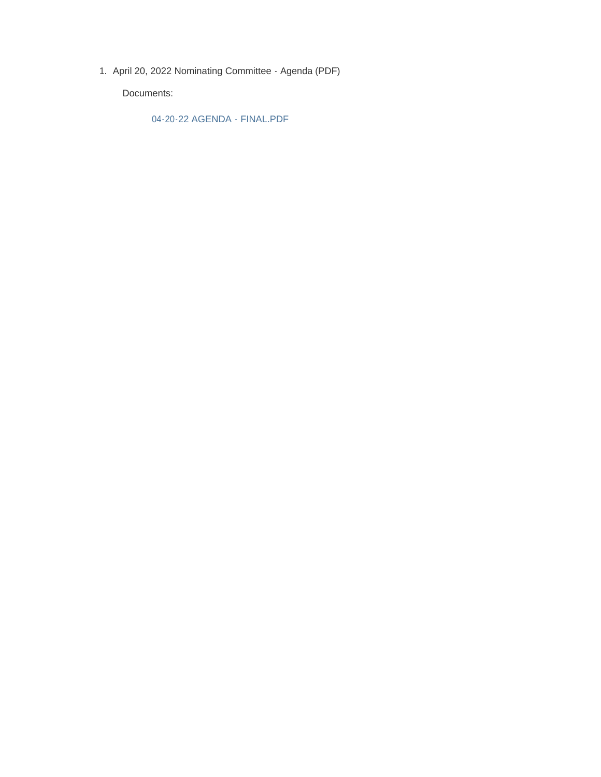1. April 20, 2022 Nominating Committee - Agenda (PDF)

Documents:

04-20-22 AGENDA - FINAL.PDF